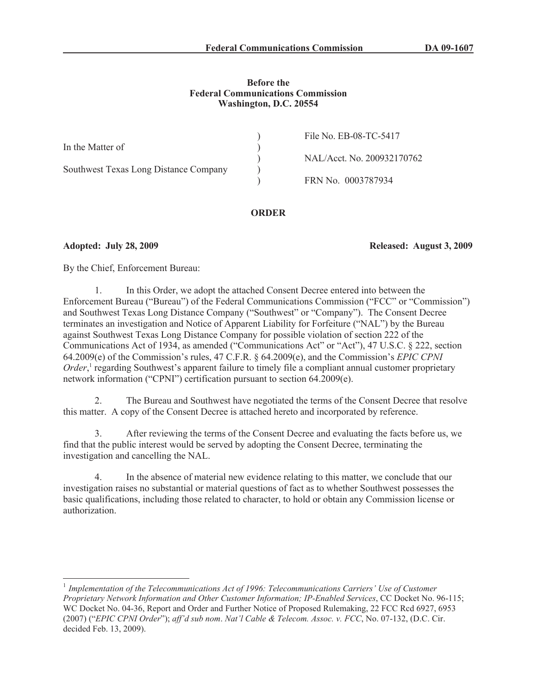## **Before the Federal Communications Commission Washington, D.C. 20554**

|                                       | File No. EB-08-TC-5417     |
|---------------------------------------|----------------------------|
| In the Matter of                      |                            |
|                                       | NAL/Acct. No. 200932170762 |
| Southwest Texas Long Distance Company |                            |
|                                       | FRN No. 0003787934         |

# **ORDER**

**Adopted: July 28, 2009 Released: August 3, 2009**

By the Chief, Enforcement Bureau:

1. In this Order, we adopt the attached Consent Decree entered into between the Enforcement Bureau ("Bureau") of the Federal Communications Commission ("FCC" or "Commission") and Southwest Texas Long Distance Company ("Southwest" or "Company"). The Consent Decree terminates an investigation and Notice of Apparent Liability for Forfeiture ("NAL") by the Bureau against Southwest Texas Long Distance Company for possible violation of section 222 of the Communications Act of 1934, as amended ("Communications Act" or "Act"), 47 U.S.C. § 222, section 64.2009(e) of the Commission's rules, 47 C.F.R. § 64.2009(e), and the Commission's *EPIC CPNI*  Order,<sup>1</sup> regarding Southwest's apparent failure to timely file a compliant annual customer proprietary network information ("CPNI") certification pursuant to section 64.2009(e).

2. The Bureau and Southwest have negotiated the terms of the Consent Decree that resolve this matter. A copy of the Consent Decree is attached hereto and incorporated by reference.

3. After reviewing the terms of the Consent Decree and evaluating the facts before us, we find that the public interest would be served by adopting the Consent Decree, terminating the investigation and cancelling the NAL.

In the absence of material new evidence relating to this matter, we conclude that our investigation raises no substantial or material questions of fact as to whether Southwest possesses the basic qualifications, including those related to character, to hold or obtain any Commission license or authorization.

<sup>&</sup>lt;sup>1</sup> Implementation of the Telecommunications Act of 1996: Telecommunications Carriers' Use of Customer *Proprietary Network Information and Other Customer Information; IP-Enabled Services*, CC Docket No. 96-115; WC Docket No. 04-36, Report and Order and Further Notice of Proposed Rulemaking, 22 FCC Rcd 6927, 6953 (2007) ("*EPIC CPNI Order*"); *aff'd sub nom*. *Nat'l Cable & Telecom. Assoc. v. FCC*, No. 07-132, (D.C. Cir. decided Feb. 13, 2009).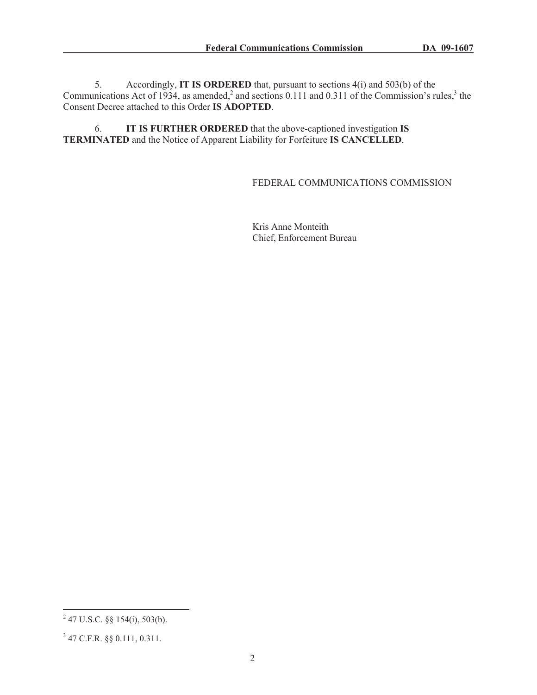5. Accordingly, **IT IS ORDERED** that, pursuant to sections 4(i) and 503(b) of the Communications Act of 1934, as amended,<sup>2</sup> and sections 0.111 and 0.311 of the Commission's rules,<sup>3</sup> the Consent Decree attached to this Order **IS ADOPTED**.

6. **IT IS FURTHER ORDERED** that the above-captioned investigation **IS TERMINATED** and the Notice of Apparent Liability for Forfeiture **IS CANCELLED**.

## FEDERAL COMMUNICATIONS COMMISSION

Kris Anne Monteith Chief, Enforcement Bureau

 $^{2}$  47 U.S.C. §§ 154(i), 503(b).

<sup>3</sup> 47 C.F.R. §§ 0.111, 0.311.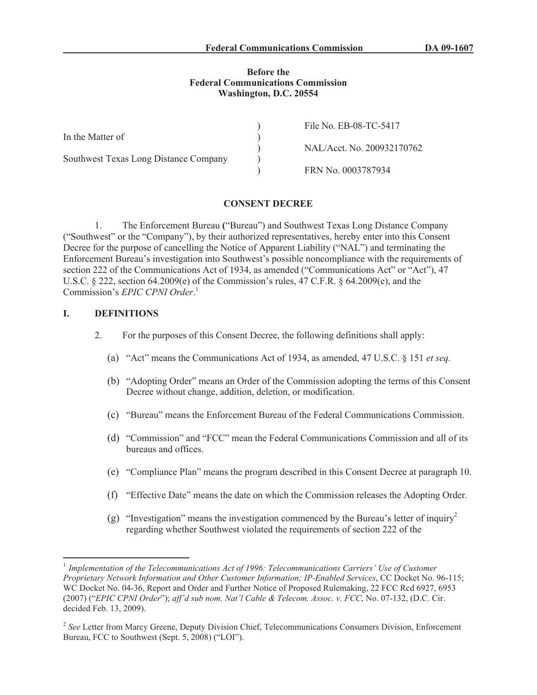### **Before the Federal Communications Commission Washington, D.C. 20554**

|                                       | File No. EB-08-TC-5417     |
|---------------------------------------|----------------------------|
| In the Matter of                      |                            |
|                                       | NAL/Acct. No. 200932170762 |
| Southwest Texas Long Distance Company |                            |
|                                       | FRN No. 0003787934         |

### **CONSENT DECREE**

1. The Enforcement Bureau **(**"Bureau") and Southwest Texas Long Distance Company ("Southwest" or the "Company"), by their authorized representatives, hereby enter into this Consent Decree for the purpose of cancelling the Notice of Apparent Liability ("NAL") and terminating the Enforcement Bureau's investigation into Southwest's possible noncompliance with the requirements of section 222 of the Communications Act of 1934, as amended ("Communications Act" or "Act"), 47 U.S.C. § 222, section 64.2009(e) of the Commission's rules, 47 C.F.R. § 64.2009(e), and the Commission's *EPIC CPNI Order*. 1

## **I. DEFINITIONS**

- 2. For the purposes of this Consent Decree, the following definitions shall apply:
	- (a) "Act" means the Communications Act of 1934, as amended, 47 U.S.C. § 151 *et seq.*
	- (b) "Adopting Order" means an Order of the Commission adopting the terms of this Consent Decree without change, addition, deletion, or modification.
	- (c) "Bureau" means the Enforcement Bureau of the Federal Communications Commission.
	- (d) "Commission" and "FCC" mean the Federal Communications Commission and all of its bureaus and offices.
	- (e) "Compliance Plan" means the program described in this Consent Decree at paragraph 10.
	- (f) "Effective Date" means the date on which the Commission releases the Adopting Order.
	- (g) "Investigation" means the investigation commenced by the Bureau's letter of inquiry<sup>2</sup> regarding whether Southwest violated the requirements of section 222 of the

<sup>&</sup>lt;sup>1</sup> Implementation of the Telecommunications Act of 1996: Telecommunications Carriers' Use of Customer *Proprietary Network Information and Other Customer Information; IP-Enabled Services*, CC Docket No. 96-115; WC Docket No. 04-36, Report and Order and Further Notice of Proposed Rulemaking, 22 FCC Rcd 6927, 6953 (2007) ("*EPIC CPNI Order*"); *aff'd sub nom*. *Nat'l Cable & Telecom. Assoc. v. FCC*, No. 07-132, (D.C. Cir. decided Feb. 13, 2009).

<sup>&</sup>lt;sup>2</sup> See Letter from Marcy Greene, Deputy Division Chief, Telecommunications Consumers Division, Enforcement Bureau, FCC to Southwest (Sept. 5, 2008) ("LOI").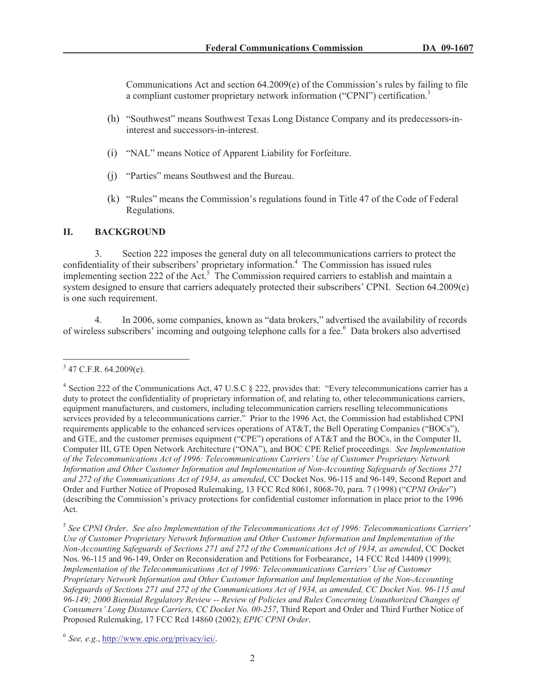Communications Act and section  $64.2009(e)$  of the Commission's rules by failing to file a compliant customer proprietary network information ("CPNI") certification.<sup>3</sup>

- (h) "Southwest" means Southwest Texas Long Distance Company and its predecessors-ininterest and successors-in-interest.
- (i) "NAL" means Notice of Apparent Liability for Forfeiture.
- (j) "Parties" means Southwest and the Bureau.
- (k) "Rules" means the Commission's regulations found in Title 47 of the Code of Federal Regulations.

## **II. BACKGROUND**

3. Section 222 imposes the general duty on all telecommunications carriers to protect the confidentiality of their subscribers' proprietary information.<sup>4</sup> The Commission has issued rules implementing section 222 of the Act.<sup>5</sup> The Commission required carriers to establish and maintain a system designed to ensure that carriers adequately protected their subscribers' CPNI. Section 64.2009(e) is one such requirement.

4. In 2006, some companies, known as "data brokers," advertised the availability of records of wireless subscribers' incoming and outgoing telephone calls for a fee.<sup>6</sup> Data brokers also advertised

 $3$  47 C.F.R. 64.2009(e).

<sup>&</sup>lt;sup>4</sup> Section 222 of the Communications Act, 47 U.S.C § 222, provides that: "Every telecommunications carrier has a duty to protect the confidentiality of proprietary information of, and relating to, other telecommunications carriers, equipment manufacturers, and customers, including telecommunication carriers reselling telecommunications services provided by a telecommunications carrier." Prior to the 1996 Act, the Commission had established CPNI requirements applicable to the enhanced services operations of AT&T, the Bell Operating Companies ("BOCs"), and GTE, and the customer premises equipment ("CPE") operations of AT&T and the BOCs, in the Computer II, Computer III, GTE Open Network Architecture ("ONA"), and BOC CPE Relief proceedings. *See Implementation of the Telecommunications Act of 1996: Telecommunications Carriers' Use of Customer Proprietary Network Information and Other Customer Information and Implementation of Non-Accounting Safeguards of Sections 271 and 272 of the Communications Act of 1934, as amended*, CC Docket Nos. 96-115 and 96-149, Second Report and Order and Further Notice of Proposed Rulemaking, 13 FCC Rcd 8061, 8068-70, para. 7 (1998) ("*CPNI Order*") (describing the Commission's privacy protections for confidential customer information in place prior to the 1996 Act.

<sup>5</sup> *See CPNI Order*. *See also Implementation of the Telecommunications Act of 1996: Telecommunications Carriers' Use of Customer Proprietary Network Information and Other Customer Information and Implementation of the Non-Accounting Safeguards of Sections 271 and 272 of the Communications Act of 1934, as amended*, CC Docket Nos. 96-115 and 96-149, Order on Reconsideration and Petitions for Forbearance, 14 FCC Rcd 14409 (1999); *Implementation of the Telecommunications Act of 1996: Telecommunications Carriers' Use of Customer Proprietary Network Information and Other Customer Information and Implementation of the Non-Accounting Safeguards of Sections 271 and 272 of the Communications Act of 1934, as amended, CC Docket Nos. 96-115 and 96-149; 2000 Biennial Regulatory Review -- Review of Policies and Rules Concerning Unauthorized Changes of Consumers' Long Distance Carriers, CC Docket No. 00-257*, Third Report and Order and Third Further Notice of Proposed Rulemaking, 17 FCC Rcd 14860 (2002); *EPIC CPNI Order*.

<sup>6</sup> *See, e.g.*, http://www.epic.org/privacy/iei/.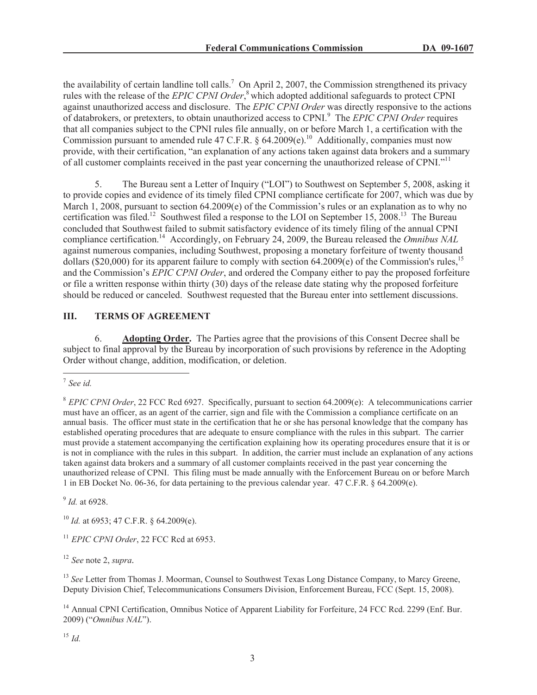the availability of certain landline toll calls.<sup>7</sup> On April 2, 2007, the Commission strengthened its privacy rules with the release of the *EPIC CPNI Order*, <sup>8</sup> which adopted additional safeguards to protect CPNI against unauthorized access and disclosure. The *EPIC CPNI Order* was directly responsive to the actions of databrokers, or pretexters, to obtain unauthorized access to CPNI.<sup>9</sup> The *EPIC CPNI Order* requires that all companies subject to the CPNI rules file annually, on or before March 1, a certification with the Commission pursuant to amended rule 47 C.F.R. § 64.2009(e).<sup>10</sup> Additionally, companies must now provide, with their certification, "an explanation of any actions taken against data brokers and a summary of all customer complaints received in the past year concerning the unauthorized release of CPNI."<sup>11</sup>

5. The Bureau sent a Letter of Inquiry ("LOI") to Southwest on September 5, 2008, asking it to provide copies and evidence of its timely filed CPNI compliance certificate for 2007, which was due by March 1, 2008, pursuant to section 64.2009(e) of the Commission's rules or an explanation as to why no certification was filed.<sup>12</sup> Southwest filed a response to the LOI on September 15, 2008.<sup>13</sup> The Bureau concluded that Southwest failed to submit satisfactory evidence of its timely filing of the annual CPNI compliance certification.<sup>14</sup> Accordingly, on February 24, 2009, the Bureau released the *Omnibus NAL* against numerous companies, including Southwest, proposing a monetary forfeiture of twenty thousand dollars (\$20,000) for its apparent failure to comply with section 64.2009(e) of the Commission's rules,<sup>15</sup> and the Commission's *EPIC CPNI Order*, and ordered the Company either to pay the proposed forfeiture or file a written response within thirty (30) days of the release date stating why the proposed forfeiture should be reduced or canceled. Southwest requested that the Bureau enter into settlement discussions.

# **III. TERMS OF AGREEMENT**

6. **Adopting Order.** The Parties agree that the provisions of this Consent Decree shall be subject to final approval by the Bureau by incorporation of such provisions by reference in the Adopting Order without change, addition, modification, or deletion.

9 *Id.* at 6928.

<sup>10</sup> *Id.* at 6953; 47 C.F.R. § 64.2009(e).

<sup>11</sup> *EPIC CPNI Order*, 22 FCC Rcd at 6953.

<sup>12</sup> *See* note 2, *supra.*

<sup>13</sup> *See* Letter from Thomas J. Moorman, Counsel to Southwest Texas Long Distance Company, to Marcy Greene, Deputy Division Chief, Telecommunications Consumers Division, Enforcement Bureau, FCC (Sept. 15, 2008).

<sup>14</sup> Annual CPNI Certification, Omnibus Notice of Apparent Liability for Forfeiture, 24 FCC Rcd. 2299 (Enf. Bur. 2009) ("*Omnibus NAL*").

<sup>15</sup> *Id.*

<sup>7</sup> *See id.*

<sup>8</sup> *EPIC CPNI Order*, 22 FCC Rcd 6927. Specifically, pursuant to section 64.2009(e): A telecommunications carrier must have an officer, as an agent of the carrier, sign and file with the Commission a compliance certificate on an annual basis. The officer must state in the certification that he or she has personal knowledge that the company has established operating procedures that are adequate to ensure compliance with the rules in this subpart. The carrier must provide a statement accompanying the certification explaining how its operating procedures ensure that it is or is not in compliance with the rules in this subpart. In addition, the carrier must include an explanation of any actions taken against data brokers and a summary of all customer complaints received in the past year concerning the unauthorized release of CPNI. This filing must be made annually with the Enforcement Bureau on or before March 1 in EB Docket No. 06-36, for data pertaining to the previous calendar year. 47 C.F.R. § 64.2009(e).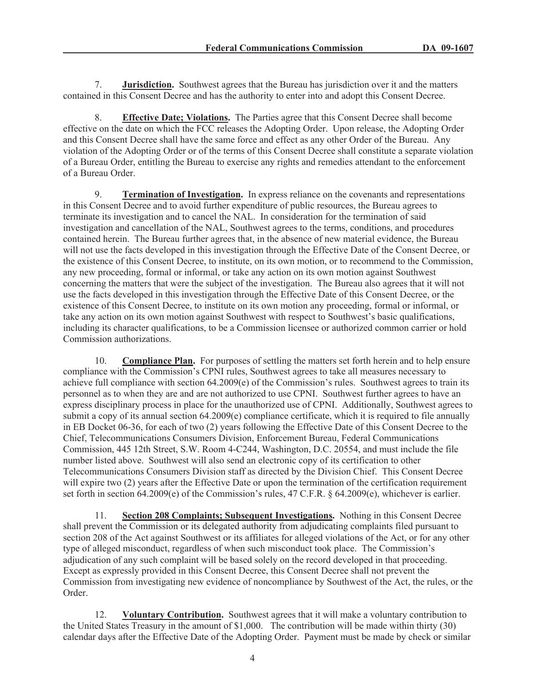7. **Jurisdiction.** Southwest agrees that the Bureau has jurisdiction over it and the matters contained in this Consent Decree and has the authority to enter into and adopt this Consent Decree.

8. **Effective Date; Violations.** The Parties agree that this Consent Decree shall become effective on the date on which the FCC releases the Adopting Order. Upon release, the Adopting Order and this Consent Decree shall have the same force and effect as any other Order of the Bureau. Any violation of the Adopting Order or of the terms of this Consent Decree shall constitute a separate violation of a Bureau Order, entitling the Bureau to exercise any rights and remedies attendant to the enforcement of a Bureau Order.

9. **Termination of Investigation.** In express reliance on the covenants and representations in this Consent Decree and to avoid further expenditure of public resources, the Bureau agrees to terminate its investigation and to cancel the NAL. In consideration for the termination of said investigation and cancellation of the NAL, Southwest agrees to the terms, conditions, and procedures contained herein. The Bureau further agrees that, in the absence of new material evidence, the Bureau will not use the facts developed in this investigation through the Effective Date of the Consent Decree, or the existence of this Consent Decree, to institute, on its own motion, or to recommend to the Commission, any new proceeding, formal or informal, or take any action on its own motion against Southwest concerning the matters that were the subject of the investigation. The Bureau also agrees that it will not use the facts developed in this investigation through the Effective Date of this Consent Decree, or the existence of this Consent Decree, to institute on its own motion any proceeding, formal or informal, or take any action on its own motion against Southwest with respect to Southwest's basic qualifications, including its character qualifications, to be a Commission licensee or authorized common carrier or hold Commission authorizations.

10. **Compliance Plan.** For purposes of settling the matters set forth herein and to help ensure compliance with the Commission's CPNI rules, Southwest agrees to take all measures necessary to achieve full compliance with section 64.2009(e) of the Commission's rules. Southwest agrees to train its personnel as to when they are and are not authorized to use CPNI. Southwest further agrees to have an express disciplinary process in place for the unauthorized use of CPNI. Additionally, Southwest agrees to submit a copy of its annual section 64.2009(e) compliance certificate, which it is required to file annually in EB Docket 06-36, for each of two (2) years following the Effective Date of this Consent Decree to the Chief, Telecommunications Consumers Division, Enforcement Bureau, Federal Communications Commission, 445 12th Street, S.W. Room 4-C244, Washington, D.C. 20554, and must include the file number listed above. Southwest will also send an electronic copy of its certification to other Telecommunications Consumers Division staff as directed by the Division Chief. This Consent Decree will expire two (2) years after the Effective Date or upon the termination of the certification requirement set forth in section 64.2009(e) of the Commission's rules, 47 C.F.R. § 64.2009(e), whichever is earlier.

11. **Section 208 Complaints; Subsequent Investigations.** Nothing in this Consent Decree shall prevent the Commission or its delegated authority from adjudicating complaints filed pursuant to section 208 of the Act against Southwest or its affiliates for alleged violations of the Act, or for any other type of alleged misconduct, regardless of when such misconduct took place. The Commission's adjudication of any such complaint will be based solely on the record developed in that proceeding. Except as expressly provided in this Consent Decree, this Consent Decree shall not prevent the Commission from investigating new evidence of noncompliance by Southwest of the Act, the rules, or the Order.

12. **Voluntary Contribution.** Southwest agrees that it will make a voluntary contribution to the United States Treasury in the amount of \$1,000. The contribution will be made within thirty (30) calendar days after the Effective Date of the Adopting Order. Payment must be made by check or similar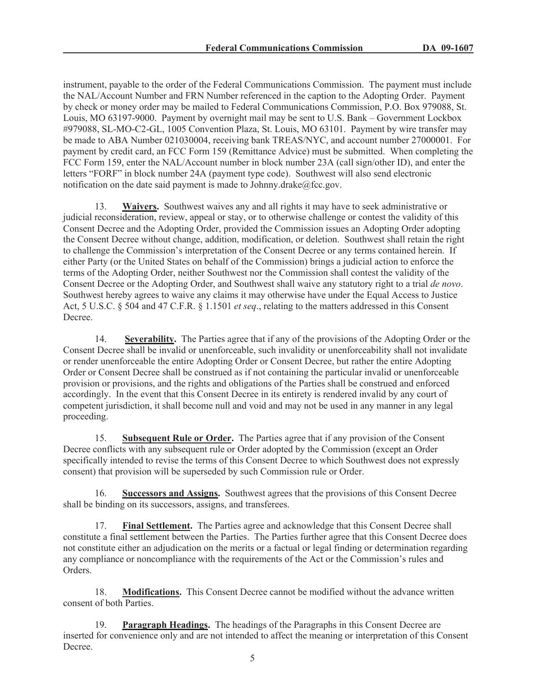instrument, payable to the order of the Federal Communications Commission. The payment must include the NAL/Account Number and FRN Number referenced in the caption to the Adopting Order. Payment by check or money order may be mailed to Federal Communications Commission, P.O. Box 979088, St. Louis, MO 63197-9000. Payment by overnight mail may be sent to U.S. Bank – Government Lockbox #979088, SL-MO-C2-GL, 1005 Convention Plaza, St. Louis, MO 63101. Payment by wire transfer may be made to ABA Number 021030004, receiving bank TREAS/NYC, and account number 27000001. For payment by credit card, an FCC Form 159 (Remittance Advice) must be submitted. When completing the FCC Form 159, enter the NAL/Account number in block number 23A (call sign/other ID), and enter the letters "FORF" in block number 24A (payment type code). Southwest will also send electronic notification on the date said payment is made to Johnny.drake@fcc.gov.

13. **Waivers.** Southwest waives any and all rights it may have to seek administrative or judicial reconsideration, review, appeal or stay, or to otherwise challenge or contest the validity of this Consent Decree and the Adopting Order, provided the Commission issues an Adopting Order adopting the Consent Decree without change, addition, modification, or deletion. Southwest shall retain the right to challenge the Commission's interpretation of the Consent Decree or any terms contained herein. If either Party (or the United States on behalf of the Commission) brings a judicial action to enforce the terms of the Adopting Order, neither Southwest nor the Commission shall contest the validity of the Consent Decree or the Adopting Order, and Southwest shall waive any statutory right to a trial *de novo*. Southwest hereby agrees to waive any claims it may otherwise have under the Equal Access to Justice Act, 5 U.S.C. § 504 and 47 C.F.R. § 1.1501 *et seq*., relating to the matters addressed in this Consent Decree.

14. **Severability.** The Parties agree that if any of the provisions of the Adopting Order or the Consent Decree shall be invalid or unenforceable, such invalidity or unenforceability shall not invalidate or render unenforceable the entire Adopting Order or Consent Decree, but rather the entire Adopting Order or Consent Decree shall be construed as if not containing the particular invalid or unenforceable provision or provisions, and the rights and obligations of the Parties shall be construed and enforced accordingly. In the event that this Consent Decree in its entirety is rendered invalid by any court of competent jurisdiction, it shall become null and void and may not be used in any manner in any legal proceeding.

15. **Subsequent Rule or Order.** The Parties agree that if any provision of the Consent Decree conflicts with any subsequent rule or Order adopted by the Commission (except an Order specifically intended to revise the terms of this Consent Decree to which Southwest does not expressly consent) that provision will be superseded by such Commission rule or Order.

16. **Successors and Assigns.** Southwest agrees that the provisions of this Consent Decree shall be binding on its successors, assigns, and transferees.

17. **Final Settlement.** The Parties agree and acknowledge that this Consent Decree shall constitute a final settlement between the Parties. The Parties further agree that this Consent Decree does not constitute either an adjudication on the merits or a factual or legal finding or determination regarding any compliance or noncompliance with the requirements of the Act or the Commission's rules and Orders.

18. **Modifications.** This Consent Decree cannot be modified without the advance written consent of both Parties.

19. **Paragraph Headings.** The headings of the Paragraphs in this Consent Decree are inserted for convenience only and are not intended to affect the meaning or interpretation of this Consent Decree.